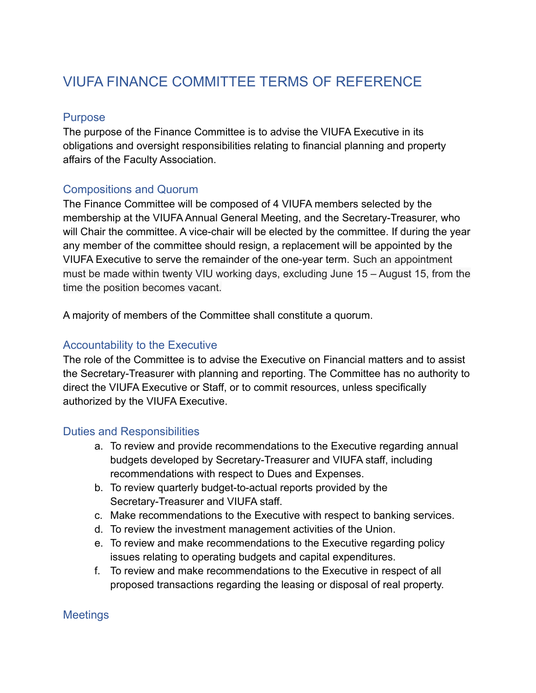# VIUFA FINANCE COMMITTEE TERMS OF REFERENCE

### Purpose

The purpose of the Finance Committee is to advise the VIUFA Executive in its obligations and oversight responsibilities relating to financial planning and property affairs of the Faculty Association.

## Compositions and Quorum

The Finance Committee will be composed of 4 VIUFA members selected by the membership at the VIUFA Annual General Meeting, and the Secretary-Treasurer, who will Chair the committee. A vice-chair will be elected by the committee. If during the year any member of the committee should resign, a replacement will be appointed by the VIUFA Executive to serve the remainder of the one-year term. Such an appointment must be made within twenty VIU working days, excluding June 15 – August 15, from the time the position becomes vacant.

A majority of members of the Committee shall constitute a quorum.

#### Accountability to the Executive

The role of the Committee is to advise the Executive on Financial matters and to assist the Secretary-Treasurer with planning and reporting. The Committee has no authority to direct the VIUFA Executive or Staff, or to commit resources, unless specifically authorized by the VIUFA Executive.

#### Duties and Responsibilities

- a. To review and provide recommendations to the Executive regarding annual budgets developed by Secretary-Treasurer and VIUFA staff, including recommendations with respect to Dues and Expenses.
- b. To review quarterly budget-to-actual reports provided by the Secretary-Treasurer and VIUFA staff.
- c. Make recommendations to the Executive with respect to banking services.
- d. To review the investment management activities of the Union.
- e. To review and make recommendations to the Executive regarding policy issues relating to operating budgets and capital expenditures.
- f. To review and make recommendations to the Executive in respect of all proposed transactions regarding the leasing or disposal of real property.

## **Meetings**